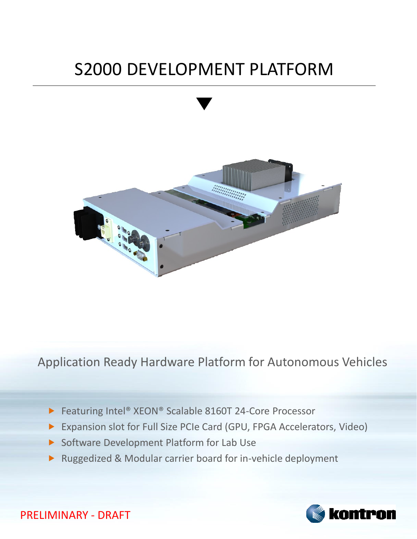## S2000 DEVELOPMENT PLATFORM



Application Ready Hardware Platform for Autonomous Vehicles

- ▶ Featuring Intel® XEON® Scalable 8160T 24-Core Processor
- Expansion slot for Full Size PCIe Card (GPU, FPGA Accelerators, Video)
- Software Development Platform for Lab Use
- Ruggedized & Modular carrier board for in-vehicle deployment



PRELIMINARY - DRAFT